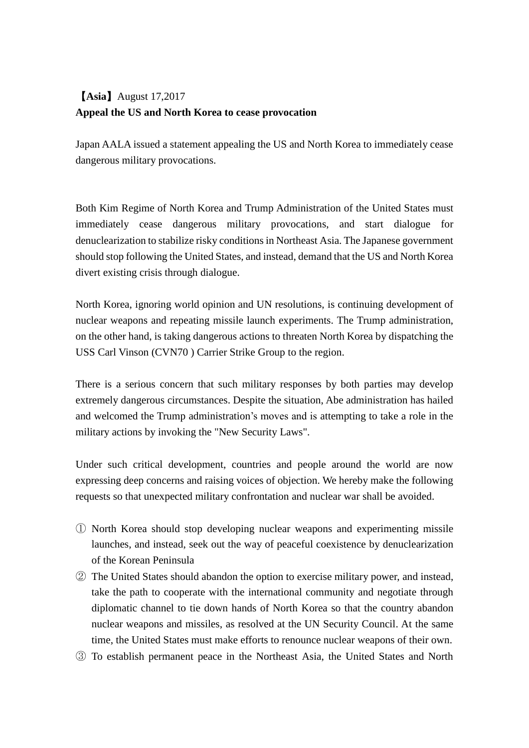## 【**Asia**】August 17,2017 **Appeal the US and North Korea to cease provocation**

Japan AALA issued a statement appealing the US and North Korea to immediately cease dangerous military provocations.

Both Kim Regime of North Korea and Trump Administration of the United States must immediately cease dangerous military provocations, and start dialogue for denuclearization to stabilize risky conditions in Northeast Asia. The Japanese government should stop following the United States, and instead, demand that the US and North Korea divert existing crisis through dialogue.

North Korea, ignoring world opinion and UN resolutions, is continuing development of nuclear weapons and repeating missile launch experiments. The Trump administration, on the other hand, is taking dangerous actions to threaten North Korea by dispatching the USS Carl Vinson (CVN70 ) Carrier Strike Group to the region.

There is a serious concern that such military responses by both parties may develop extremely dangerous circumstances. Despite the situation, Abe administration has hailed and welcomed the Trump administration's moves and is attempting to take a role in the military actions by invoking the "New Security Laws".

Under such critical development, countries and people around the world are now expressing deep concerns and raising voices of objection. We hereby make the following requests so that unexpected military confrontation and nuclear war shall be avoided.

- ① North Korea should stop developing nuclear weapons and experimenting missile launches, and instead, seek out the way of peaceful coexistence by denuclearization of the Korean Peninsula
- ② The United States should abandon the option to exercise military power, and instead, take the path to cooperate with the international community and negotiate through diplomatic channel to tie down hands of North Korea so that the country abandon nuclear weapons and missiles, as resolved at the UN Security Council. At the same time, the United States must make efforts to renounce nuclear weapons of their own.
- ③ To establish permanent peace in the Northeast Asia, the United States and North